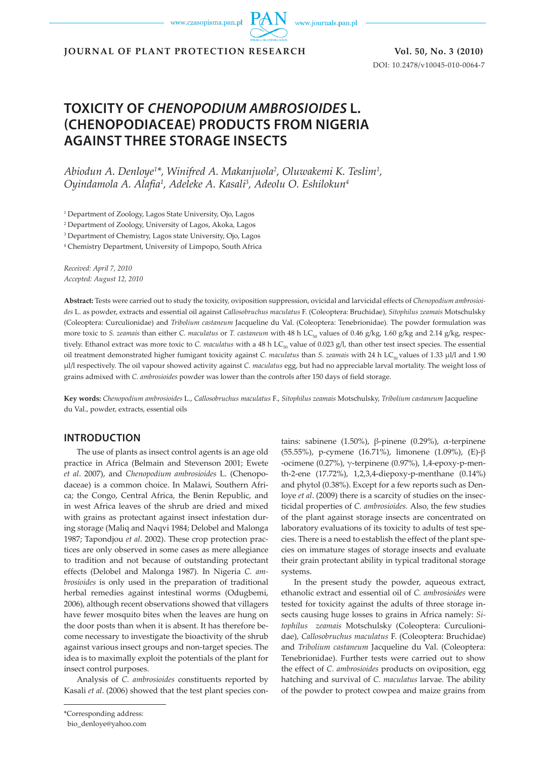www.czasopisma.pan.pl



**JOURNAL OF PLANT PROTECTION RESEARCH Vol. 50, No. 3 (2010)**

DOI: 10.2478/v10045-010-0064-7

# **TOXICITY OF** *CHENOPODIUM AMBROSIOIDES* **L. (CHENOPODIACEAE) PRODUCTS FROM NIGERIA AGAINST THREE STORAGE INSECTS**

*Abiodun A. Denloye1 \*, Winifred A. Makanjuola2 , Oluwakemi K. Teslim1 , Oyindamola A. Alafia1 , Adeleke A. Kasali3 , Adeolu O. Eshilokun4*

1 Department of Zoology, Lagos State University, Ojo, Lagos

2 Department of Zoology, University of Lagos, Akoka, Lagos

3 Department of Chemistry, Lagos state University, Ojo, Lagos

4 Chemistry Department, University of Limpopo, South Africa

*Received: April 7, 2010 Accepted: August 12, 2010*

**Abstract:** Tests were carried out to study the toxicity, oviposition suppression, ovicidal and larvicidal effects of *Chenopodium ambrosioides* L. as powder, extracts and essential oil against *Callosobruchus maculatus* F. (Coleoptera: Bruchidae)*, Sitophilus zeamais* Motschulsky (Coleoptera: Curculionidae) and *Tribolium castaneum* Jacqueline du Val. (Coleoptera: Tenebrionidae)*.* The powder formulation was more toxic to *S. zeamais* than either *C. maculatus* or *T. castaneum* with 48 h LC<sub>50</sub> values of 0.46 g/kg, 1.60 g/kg and 2.14 g/kg, respectively. Ethanol extract was more toxic to *C. maculatus* with a 48 h LC<sub>50</sub> value of 0.023 g/l, than other test insect species. The essential oil treatment demonstrated higher fumigant toxicity against *C. maculatus* than *S. zeamais* with 24 h LC<sub>50</sub> values of 1.33 µl/l and 1.90 µl/l respectively. The oil vapour showed activity against *C. maculatus* egg, but had no appreciable larval mortality. The weight loss of grains admixed with *C. ambrosioides* powder was lower than the controls after 150 days of field storage.

**Key words:** *Chenopodium ambrosioides* L., *Callosobruchus maculatus* F., *Sitophilus zeamais* Motschulsky, *Tribolium castaneum* Jacqueline du Val., powder, extracts, essential oils

# **INTRODUCTION**

The use of plants as insect control agents is an age old practice in Africa (Belmain and Stevenson 2001; Ewete *et al*. 2007), and *Chenopodium ambrosioides* L. (Chenopodaceae) is a common choice. In Malawi, Southern Africa; the Congo, Central Africa, the Benin Republic, and in west Africa leaves of the shrub are dried and mixed with grains as protectant against insect infestation during storage (Maliq and Naqvi 1984; Delobel and Malonga 1987; Tapondjou *et al*. 2002). These crop protection practices are only observed in some cases as mere allegiance to tradition and not because of outstanding protectant effects (Delobel and Malonga 1987). In Nigeria *C. ambrosioides* is only used in the preparation of traditional herbal remedies against intestinal worms (Odugbemi, 2006), although recent observations showed that villagers have fewer mosquito bites when the leaves are hung on the door posts than when it is absent. It has therefore become necessary to investigate the bioactivity of the shrub against various insect groups and non-target species. The idea is to maximally exploit the potentials of the plant for insect control purposes.

Analysis of *C. ambrosioides* constituents reported by Kasali *et al*. (2006) showed that the test plant species contains: sabinene (1.50%), β-pinene (0.29%), α-terpinene (55.55%), p-cymene (16.71%), limonene (1.09%), (E)-β -ocimene (0.27%), γ-terpinene (0.97%), 1,4-epoxy-p-menth-2-ene (17.72%), 1,2,3,4-diepoxy-p-menthane (0.14%) and phytol (0.38%). Except for a few reports such as Denloye *et al*. (2009) there is a scarcity of studies on the insecticidal properties of *C. ambrosioides.* Also, the few studies of the plant against storage insects are concentrated on laboratory evaluations of its toxicity to adults of test species. There is a need to establish the effect of the plant species on immature stages of storage insects and evaluate their grain protectant ability in typical traditonal storage systems.

In the present study the powder, aqueous extract, ethanolic extract and essential oil of *C. ambrosioides* were tested for toxicity against the adults of three storage insects causing huge losses to grains in Africa namely: *Sitophilus zeamais* Motschulsky (Coleoptera: Curculionidae), *Callosobruchus maculatus* F. (Coleoptera: Bruchidae) and *Tribolium castaneum* Jacqueline du Val. (Coleoptera: Tenebrionidae). Further tests were carried out to show the effect of *C. ambrosioides* products on oviposition, egg hatching and survival of *C. maculatus* larvae. The ability of the powder to protect cowpea and maize grains from

<sup>\*</sup>Corresponding address:

bio\_denloye@yahoo.com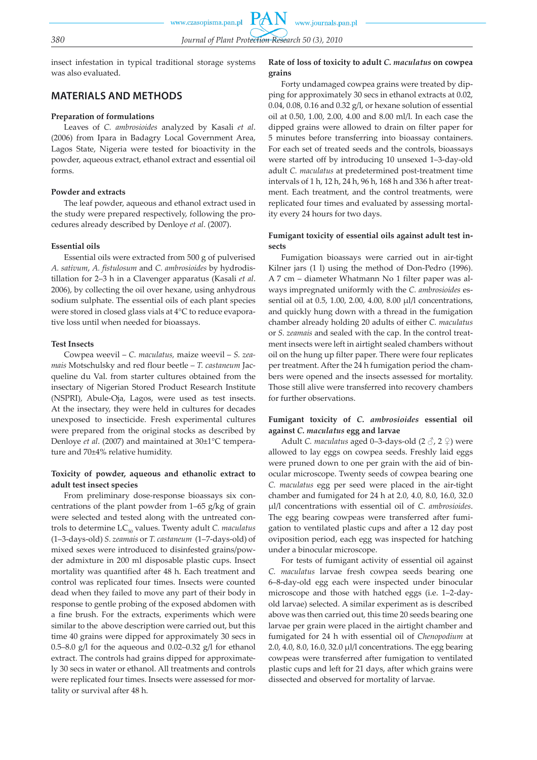insect infestation in typical traditional storage systems was also evaluated.

# **MATERIALS AND METHODS**

#### **Preparation of formulations**

Leaves of *C. ambrosioides* analyzed by Kasali *et al*. (2006) from Ipara in Badagry Local Government Area, Lagos State, Nigeria were tested for bioactivity in the powder, aqueous extract, ethanol extract and essential oil forms.

# **Powder and extracts**

The leaf powder, aqueous and ethanol extract used in the study were prepared respectively, following the procedures already described by Denloye *et al*. (2007).

#### **Essential oils**

Essential oils were extracted from 500 g of pulverised *A. sativum*, *A. fistulosum* and *C. ambrosioides* by hydrodistillation for 2–3 h in a Clavenger apparatus (Kasali *et al*. 2006), by collecting the oil over hexane, using anhydrous sodium sulphate. The essential oils of each plant species were stored in closed glass vials at 4°C to reduce evaporative loss until when needed for bioassays.

#### **Test Insects**

Cowpea weevil – *C. maculatus,* maize weevil – *S. zeamais* Motschulsky and red flour beetle – *T. castaneum* Jacqueline du Val. from starter cultures obtained from the insectary of Nigerian Stored Product Research Institute (NSPRI), Abule-Oja, Lagos, were used as test insects. At the insectary, they were held in cultures for decades unexposed to insecticide. Fresh experimental cultures were prepared from the original stocks as described by Denloye *et al*. (2007) and maintained at 30±1°C temperature and 70±4% relative humidity.

# **Toxicity of powder, aqueous and ethanolic extract to adult test insect species**

From preliminary dose-response bioassays six concentrations of the plant powder from 1–65 g/kg of grain were selected and tested along with the untreated controls to determine LC<sub>50</sub> values. Twenty adult *C. maculatus* (1–3-days-old) *S. zeamais* or *T. castaneum* (1–7-days-old) of mixed sexes were introduced to disinfested grains/powder admixture in 200 ml disposable plastic cups. Insect mortality was quantified after 48 h. Each treatment and control was replicated four times. Insects were counted dead when they failed to move any part of their body in response to gentle probing of the exposed abdomen with a fine brush. For the extracts, experiments which were similar to the above description were carried out, but this time 40 grains were dipped for approximately 30 secs in 0.5–8.0 g/l for the aqueous and 0.02–0.32 g/l for ethanol extract. The controls had grains dipped for approximately 30 secs in water or ethanol. All treatments and controls were replicated four times. Insects were assessed for mortality or survival after 48 h.

# **Rate of loss of toxicity to adult** *C. maculatus* **on cowpea grains**

Forty undamaged cowpea grains were treated by dipping for approximately 30 secs in ethanol extracts at 0.02, 0.04, 0.08, 0.16 and 0.32 g/l, or hexane solution of essential oil at 0.50, 1.00, 2.00, 4.00 and 8.00 ml/l. In each case the dipped grains were allowed to drain on filter paper for 5 minutes before transferring into bioassay containers. For each set of treated seeds and the controls, bioassays were started off by introducing 10 unsexed 1–3-day-old adult *C. maculatus* at predetermined post-treatment time intervals of 1 h, 12 h, 24 h, 96 h, 168 h and 336 h after treatment. Each treatment, and the control treatments, were replicated four times and evaluated by assessing mortality every 24 hours for two days.

# **Fumigant toxicity of essential oils against adult test insects**

Fumigation bioassays were carried out in air-tight Kilner jars (1 l) using the method of Don-Pedro (1996). A 7 cm – diameter Whatmann No 1 filter paper was always impregnated uniformly with the *C. ambrosioides* essential oil at 0.5, 1.00, 2.00, 4.00, 8.00 µl/l concentrations, and quickly hung down with a thread in the fumigation chamber already holding 20 adults of either *C. maculatus*  or *S. zeamais* and sealed with the cap. In the control treatment insects were left in airtight sealed chambers without oil on the hung up filter paper. There were four replicates per treatment. After the 24 h fumigation period the chambers were opened and the insects assessed for mortality. Those still alive were transferred into recovery chambers for further observations.

# **Fumigant toxicity of** *C. ambrosioides* **essential oil against** *C. maculatus* **egg and larvae**

Adult *C. maculatus* aged 0–3-days-old (2 ♂, 2 ♀) were allowed to lay eggs on cowpea seeds. Freshly laid eggs were pruned down to one per grain with the aid of binocular microscope. Twenty seeds of cowpea bearing one *C. maculatus* egg per seed were placed in the air-tight chamber and fumigated for 24 h at 2.0, 4.0, 8.0, 16.0, 32.0 µl/l concentrations with essential oil of *C. ambrosioides*. The egg bearing cowpeas were transferred after fumigation to ventilated plastic cups and after a 12 day post oviposition period, each egg was inspected for hatching under a binocular microscope.

For tests of fumigant activity of essential oil against *C. maculatus* larvae fresh cowpea seeds bearing one 6–8-day-old egg each were inspected under binocular microscope and those with hatched eggs (i.e. 1–2-dayold larvae) selected. A similar experiment as is described above was then carried out, this time 20 seeds bearing one larvae per grain were placed in the airtight chamber and fumigated for 24 h with essential oil of *Chenopodium* at 2.0, 4.0, 8.0, 16.0, 32.0 µl/l concentrations. The egg bearing cowpeas were transferred after fumigation to ventilated plastic cups and left for 21 days, after which grains were dissected and observed for mortality of larvae.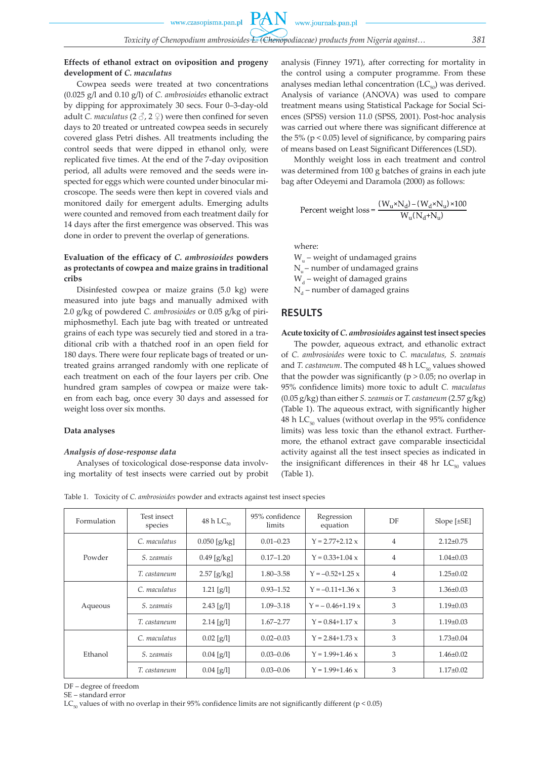PA

# **Effects of ethanol extract on oviposition and progeny development of** *C. maculatus*

Cowpea seeds were treated at two concentrations (0.025 g/l and 0.10 g/l) of *C. ambrosioides* ethanolic extract by dipping for approximately 30 secs. Four 0–3-day-old adult *C. maculatus* (2  $\Diamond$ , 2  $\Diamond$ ) were then confined for seven days to 20 treated or untreated cowpea seeds in securely covered glass Petri dishes. All treatments including the control seeds that were dipped in ethanol only, were replicated five times. At the end of the 7-day oviposition period, all adults were removed and the seeds were inspected for eggs which were counted under binocular microscope. The seeds were then kept in covered vials and monitored daily for emergent adults. Emerging adults were counted and removed from each treatment daily for 14 days after the first emergence was observed. This was done in order to prevent the overlap of generations.

# **Evaluation of the efficacy of** *C. ambrosioides* **powders as protectants of cowpea and maize grains in traditional cribs**

Disinfested cowpea or maize grains (5.0 kg) were measured into jute bags and manually admixed with 2.0 g/kg of powdered *C. ambrosioides* or 0.05 g/kg of pirimiphosmethyl. Each jute bag with treated or untreated grains of each type was securely tied and stored in a traditional crib with a thatched roof in an open field for 180 days. There were four replicate bags of treated or untreated grains arranged randomly with one replicate of each treatment on each of the four layers per crib. One hundred gram samples of cowpea or maize were taken from each bag, once every 30 days and assessed for weight loss over six months.

#### **Data analyses**

#### *Analysis of dose-response data*

Analyses of toxicological dose-response data involving mortality of test insects were carried out by probit analysis (Finney 1971), after correcting for mortality in the control using a computer programme. From these analyses median lethal concentration  $(LC_{50})$  was derived. Analysis of variance (ANOVA) was used to compare treatment means using Statistical Package for Social Sciences (SPSS) version 11.0 (SPSS, 2001). Post-hoc analysis was carried out where there was significant difference at the 5% ( $p < 0.05$ ) level of significance, by comparing pairs of means based on Least Significant Differences (LSD).

Monthly weight loss in each treatment and control was determined from 100 g batches of grains in each jute bag after Odeyemi and Daramola (2000) as follows:

Percent weight loss = 
$$
\frac{(W_{u} \times N_{d}) - (W_{d} \times N_{u}) \times 100}{W_{u}(N_{d} + N_{u})}
$$

where:

 $W_{u}$  – weight of undamaged grains  $N_{u}$ – number of undamaged grains  $W_d$  – weight of damaged grains  $N_d$  – number of damaged grains

# **RESULTS**

#### **Acute toxicity of** *C. ambrosioides* **against test insect species**

The powder, aqueous extract, and ethanolic extract of *C. ambrosioides* were toxic to *C. maculatus, S. zeamais* and *T. castaneum*. The computed  $48 \text{ h } LC_{50}$  values showed that the powder was significantly ( $p > 0.05$ ; no overlap in 95% confidence limits) more toxic to adult *C. maculatus* (0.05 g/kg) than either *S. zeamais* or *T. castaneum* (2.57 g/kg) (Table 1). The aqueous extract, with significantly higher 48 h LC $_{50}$  values (without overlap in the 95% confidence limits) was less toxic than the ethanol extract. Furthermore, the ethanol extract gave comparable insecticidal activity against all the test insect species as indicated in the insignificant differences in their 48 hr  $LC_{50}$  values (Table 1).

Table 1. Toxicity of *C. ambrosioides* powder and extracts against test insect species

| Formulation | Test insect<br>species | 48 h $LC_{50}$ | 95% confidence<br>limits | Regression<br>equation | DF             | Slope $[\pm SE]$ |
|-------------|------------------------|----------------|--------------------------|------------------------|----------------|------------------|
| Powder      | C. maculatus           | $0.050$ [g/kg] | $0.01 - 0.23$            | $Y = 2.77 + 2.12 x$    | $\overline{4}$ | $2.12 \pm 0.75$  |
|             | S. zeamais             | $0.49$ [g/kg]  | $0.17 - 1.20$            | $Y = 0.33 + 1.04$ x    | $\overline{4}$ | $1.04 \pm 0.03$  |
|             | T. castaneum           | $2.57$ [g/kg]  | $1.80 - 3.58$            | $Y = -0.52 + 1.25$ x   | $\overline{4}$ | $1.25 \pm 0.02$  |
| Aqueous     | C. maculatus           | $1.21$ [g/l]   | $0.93 - 1.52$            | $Y = -0.11 + 1.36$ x   | 3              | $1.36 \pm 0.03$  |
|             | S. zeamais             | 2.43[g/l]      | $1.09 - 3.18$            | $Y = -0.46 + 1.19$ x   | 3              | $1.19 \pm 0.03$  |
|             | T. castaneum           | $2.14$ [g/l]   | $1.67 - 2.77$            | $Y = 0.84 + 1.17 x$    | 3              | $1.19\pm0.03$    |
| Ethanol     | C. maculatus           | $0.02$ [g/l]   | $0.02 - 0.03$            | $Y = 2.84 + 1.73 x$    | 3              | $1.73 \pm 0.04$  |
|             | S. zeamais             | $0.04$ [g/l]   | $0.03 - 0.06$            | $Y = 1.99 + 1.46 x$    | 3              | $1.46 \pm 0.02$  |
|             | T. castaneum           | $0.04$ [g/l]   | $0.03 - 0.06$            | $Y = 1.99 + 1.46 x$    | 3              | $1.17 \pm 0.02$  |

DF – degree of freedom

SE – standard error

 $LC_{50}$  values of with no overlap in their 95% confidence limits are not significantly different (p < 0.05)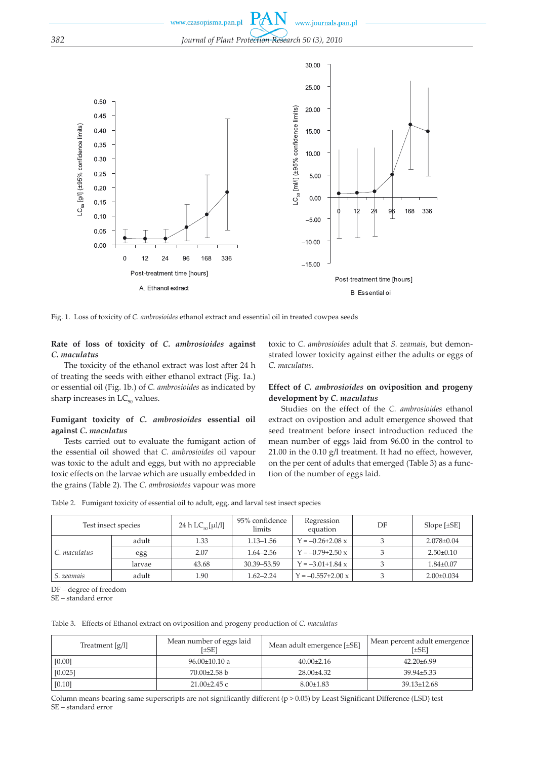

Fig. 1. Loss of toxicity of *C. ambrosioides* ethanol extract and essential oil in treated cowpea seeds

#### **Rate of loss of toxicity of** *C. ambrosioides* **against**  *C. maculatus*

The toxicity of the ethanol extract was lost after 24 h of treating the seeds with either ethanol extract (Fig. 1a.) or essential oil (Fig. 1b.) of *C. ambrosioides* as indicated by sharp increases in  $LC_{50}$  values.

# **Fumigant toxicity of** *C. ambrosioides* **essential oil against** *C. maculatus*

Tests carried out to evaluate the fumigant action of the essential oil showed that *C. ambrosioides* oil vapour was toxic to the adult and eggs, but with no appreciable toxic effects on the larvae which are usually embedded in the grains (Table 2). The *C. ambrosioides* vapour was more

toxic to *C. ambrosioides* adult that *S. zeamais*, but demonstrated lower toxicity against either the adults or eggs of *C. maculatus*.

### **Effect of** *C. ambrosioides* **on oviposition and progeny development by** *C. maculatus*

Studies on the effect of the *C. ambrosioides* ethanol extract on ovipostion and adult emergence showed that seed treatment before insect introduction reduced the mean number of eggs laid from 96.00 in the control to 21.00 in the 0.10 g/l treatment. It had no effect, however, on the per cent of adults that emerged (Table 3) as a function of the number of eggs laid.

|  | Table 2. Fumigant toxicity of essential oil to adult, egg, and larval test insect species |  |
|--|-------------------------------------------------------------------------------------------|--|
|  |                                                                                           |  |

| Test insect species |        | 24 h $LC_{50}$ [µl/l] | 95% confidence<br>limits | Regression<br>equation     | DF | Slope $[\pm SE]$ |
|---------------------|--------|-----------------------|--------------------------|----------------------------|----|------------------|
| C. maculatus        | adult  | 1.33                  | $1.13 - 1.56$            | $Y = -0.26 + 2.08$ x       |    | $2.078 \pm 0.04$ |
|                     | egg    | 2.07                  | $1.64 - 2.56$            | $Y = -0.79 + 2.50 x$       |    | $2.50 \pm 0.10$  |
|                     | larvae | 43.68                 | 30.39 - 53.59            | $Y = -3.01 + 1.84$ x       |    | $1.84 \pm 0.07$  |
| S. zeamais          | adult  | 1.90                  | $1.62 - 2.24$            | $Y = -0.557 + 2.00 \times$ |    | $2.00\pm0.034$   |

DF – degree of freedom

SE – standard error

Table 3. Effects of Ethanol extract on oviposition and progeny production of *C. maculatus*

| Treatment $[g/l]$ | Mean number of eggs laid<br>[±SE] | Mean adult emergence [±SE] | Mean percent adult emergence<br>[±SE] |
|-------------------|-----------------------------------|----------------------------|---------------------------------------|
| [0.00]            | $96.00 \pm 10.10$ a               | $40.00 \pm 2.16$           | $42.20\pm 6.99$                       |
| [0.025]           | $70.00 \pm 2.58$ b                | $28.00\pm4.32$             | $39.94 \pm 5.33$                      |
| [0.10]            | $21.00\pm2.45$ c                  | $8.00 \pm 1.83$            | $39.13 \pm 12.68$                     |

Column means bearing same superscripts are not significantly different (p > 0.05) by Least Significant Difference (LSD) test SE – standard error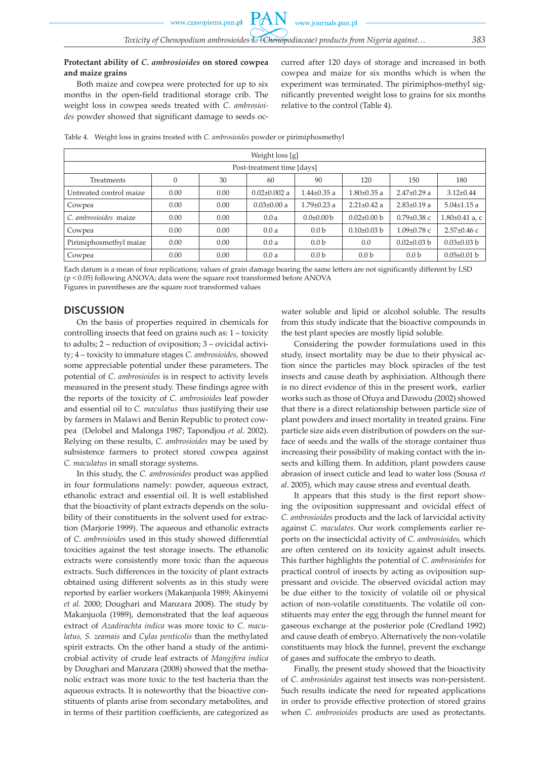# **Protectant ability of** *C. ambrosioides* **on stored cowpea and maize grains**

Both maize and cowpea were protected for up to six months in the open-field traditional storage crib. The weight loss in cowpea seeds treated with *C*. *ambrosioides* powder showed that significant damage to seeds occurred after 120 days of storage and increased in both cowpea and maize for six months which is when the experiment was terminated. The pirimiphos-methyl significantly prevented weight loss to grains for six months relative to the control (Table 4).

Table 4. Weight loss in grains treated with *C. ambrosioides* powder or pirimiphosmethyl

| Weight loss [g]            |      |      |                    |                   |                   |                   |                      |
|----------------------------|------|------|--------------------|-------------------|-------------------|-------------------|----------------------|
| Post-treatment time [days] |      |      |                    |                   |                   |                   |                      |
| <b>Treatments</b>          |      | 30   | 60                 | 90                | 120               | 150               | 180                  |
| Untreated control maize    | 0.00 | 0.00 | $0.02 \pm 0.002$ a | $1.44 \pm 0.35$ a | $1.80 \pm 0.35$ a | $2.47\pm0.29$ a   | $3.12 \pm 0.44$      |
| Cowpea                     | 0.00 | 0.00 | $0.03 \pm 0.00$ a  | $1.79 \pm 0.23$ a | $2.21 \pm 0.42$ a | $2.83 \pm 0.19$ a | $5.04 \pm 1.15$ a    |
| C. ambrosioides maize      | 0.00 | 0.00 | 0.0a               | $0.0 \pm 0.00 b$  | $0.02\pm0.00$ b   | $0.79 \pm 0.38$ c | $1.80 \pm 0.41$ a, c |
| Cowpea                     | 0.00 | 0.00 | 0.0a               | 0.0 <sub>b</sub>  | $0.10\pm0.03$ b   | $1.09 \pm 0.78$ c | $2.57 \pm 0.46$ c    |
| Pirimiphosmethyl maize     | 0.00 | 0.00 | 0.0a               | 0.0 <sub>b</sub>  | 0.0               | $0.02 \pm 0.03$ b | $0.03 \pm 0.03$ b    |
| Cowpea                     | 0.00 | 0.00 | 0.0a               | 0.0 <sub>b</sub>  | 0.0 <sub>b</sub>  | 0.0 <sub>b</sub>  | $0.05 \pm 0.01$ b    |

Each datum is a mean of four replications; values of grain damage bearing the same letters are not significantly different by LSD (p < 0.05) following ANOVA; data were the square root transformed before ANOVA Figures in parentheses are the square root transformed values

# **DISCUSSION**

On the basis of properties required in chemicals for controlling insects that feed on grains such as: 1 – toxicity to adults; 2 – reduction of oviposition; 3 – ovicidal activity; 4 – toxicity to immature stages *C. ambrosioides*, showed some appreciable potential under these parameters. The potential of *C. ambrosioides* is in respect to activity levels measured in the present study. These findings agree with the reports of the toxicity of *C. ambrosioides* leaf powder and essential oil to *C. maculatus* thus justifying their use by farmers in Malawi and Benin Republic to protect cowpea (Delobel and Malonga 1987; Tapondjou *et al*. 2002). Relying on these results, *C. ambrosioides* may be used by subsistence farmers to protect stored cowpea against *C. maculatus* in small storage systems.

In this study, the *C. ambrosioides* product was applied in four formulations namely: powder, aqueous extract, ethanolic extract and essential oil. It is well established that the bioactivity of plant extracts depends on the solubility of their constituents in the solvent used for extraction (Marjorie 1999). The aqueous and ethanolic extracts of *C. ambrosioides* used in this study showed differential toxicities against the test storage insects. The ethanolic extracts were consistently more toxic than the aqueous extracts. Such differences in the toxicity of plant extracts obtained using different solvents as in this study were reported by earlier workers (Makanjuola 1989; Akinyemi *et al.* 2000; Doughari and Manzara 2008). The study by Makanjuola (1989), demonstrated that the leaf aqueous extract of *Azadirachta indica* was more toxic to *C. maculatus, S. zeamais* and *Cylas ponticolis* than the methylated spirit extracts. On the other hand a study of the antimicrobial activity of crude leaf extracts of *Mangifera indica* by Doughari and Manzara (2008) showed that the methanolic extract was more toxic to the test bacteria than the aqueous extracts. It is noteworthy that the bioactive constituents of plants arise from secondary metabolites, and in terms of their partition coefficients, are categorized as water soluble and lipid or alcohol soluble. The results from this study indicate that the bioactive compounds in the test plant species are mostly lipid soluble.

Considering the powder formulations used in this study, insect mortality may be due to their physical action since the particles may block spiracles of the test insects and cause death by asphixiation. Although there is no direct evidence of this in the present work, earlier works such as those of Ofuya and Dawodu (2002) showed that there is a direct relationship between particle size of plant powders and insect mortality in treated grains. Fine particle size aids even distribution of powders on the surface of seeds and the walls of the storage container thus increasing their possibility of making contact with the insects and killing them*.* In addition, plant powders cause abrasion of insect cuticle and lead to water loss (Sousa *et al*. 2005), which may cause stress and eventual death.

It appears that this study is the first report showing the oviposition suppressant and ovicidal effect of *C. ambrosioides* products and the lack of larvicidal activity against *C. maculates*. Our work complements earlier reports on the insecticidal activity of *C. ambrosioides,* which are often centered on its toxicity against adult insects. This further highlights the potential of *C. ambrosioides* for practical control of insects by acting as oviposition suppressant and ovicide. The observed ovicidal action may be due either to the toxicity of volatile oil or physical action of non-volatile constituents. The volatile oil constituents may enter the egg through the funnel meant for gaseous exchange at the posterior pole (Credland 1992) and cause death of embryo. Alternatively the non-volatile constituents may block the funnel, prevent the exchange of gases and suffocate the embryo to death.

Finally, the present study showed that the bioactivity of *C. ambrosioides* against test insects was non-persistent. Such results indicate the need for repeated applications in order to provide effective protection of stored grains when *C*. *ambrosioides* products are used as protectants.